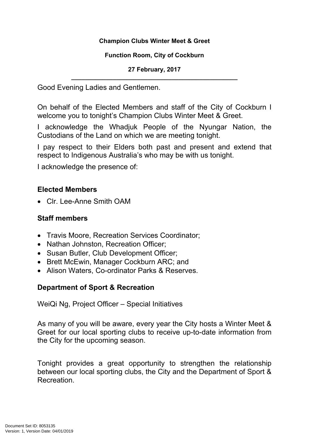#### **Champion Clubs Winter Meet & Greet**

#### **Function Room, City of Cockburn**

**27 February, 2017 \_\_\_\_\_\_\_\_\_\_\_\_\_\_\_\_\_\_\_\_\_\_\_\_\_\_\_\_\_\_\_\_\_\_\_\_\_\_\_\_\_\_\_\_\_\_\_\_**

Good Evening Ladies and Gentlemen.

On behalf of the Elected Members and staff of the City of Cockburn I welcome you to tonight's Champion Clubs Winter Meet & Greet.

I acknowledge the Whadjuk People of the Nyungar Nation, the Custodians of the Land on which we are meeting tonight.

I pay respect to their Elders both past and present and extend that respect to Indigenous Australia's who may be with us tonight.

I acknowledge the presence of:

# **Elected Members**

Clr. Lee-Anne Smith OAM

### **Staff members**

- Travis Moore, Recreation Services Coordinator;
- Nathan Johnston, Recreation Officer:
- Susan Butler, Club Development Officer;
- Brett McEwin, Manager Cockburn ARC; and
- Alison Waters, Co-ordinator Parks & Reserves.

# **Department of Sport & Recreation**

WeiQi Ng, Project Officer – Special Initiatives

As many of you will be aware, every year the City hosts a Winter Meet & Greet for our local sporting clubs to receive up-to-date information from the City for the upcoming season.

Tonight provides a great opportunity to strengthen the relationship between our local sporting clubs, the City and the Department of Sport & **Recreation**